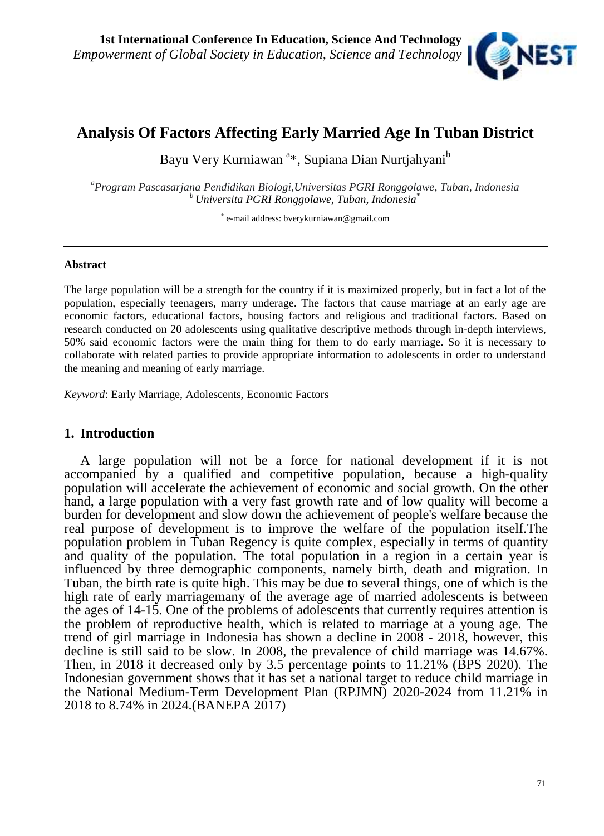

# **Analysis Of Factors Affecting Early Married Age In Tuban District**

Bayu Very Kurniawan<sup>a\*</sup>, Supiana Dian Nurtjahyani<sup>b</sup>

*<sup>a</sup>Program Pascasarjana Pendidikan Biologi,Universitas PGRI Ronggolawe, Tuban, Indonesia <sup>b</sup> Universita PGRI Ronggolawe, Tuban, Indonesia*\*

\* e-mail address: bverykurniawan@gmail.com

#### **Abstract**

The large population will be a strength for the country if it is maximized properly, but in fact a lot of the population, especially teenagers, marry underage. The factors that cause marriage at an early age are economic factors, educational factors, housing factors and religious and traditional factors. Based on research conducted on 20 adolescents using qualitative descriptive methods through in-depth interviews, 50% said economic factors were the main thing for them to do early marriage. So it is necessary to collaborate with related parties to provide appropriate information to adolescents in order to understand the meaning and meaning of early marriage.

*Keyword*: Early Marriage, Adolescents, Economic Factors

### **1. Introduction**

A large population will not be a force for national development if it is not accompanied by a qualified and competitive population, because a high-quality population will accelerate the achievement of economic and social growth. On the other hand, a large population with a very fast growth rate and of low quality will become a burden for development and slow down the achievement of people's welfare because the real purpose of development is to improve the welfare of the population itself.The population problem in Tuban Regency is quite complex, especially in terms of quantity and quality of the population. The total population in a region in a certain year is influenced by three demographic components, namely birth, death and migration. In Tuban, the birth rate is quite high. This may be due to several things, one of which is the high rate of early marriagemany of the average age of married adolescents is between the ages of 14-15. One of the problems of adolescents that currently requires attention is the problem of reproductive health, which is related to marriage at a young age. The trend of girl marriage in Indonesia has shown a decline in 2008 - 2018, however, this decline is still said to be slow. In 2008, the prevalence of child marriage was 14.67%. Then, in 2018 it decreased only by 3.5 percentage points to 11.21% (BPS 2020). The Indonesian government shows that it has set a national target to reduce child marriage in the National Medium-Term Development Plan (RPJMN) 2020-2024 from 11.21% in 2018 to 8.74% in 2024.(BANEPA 2017)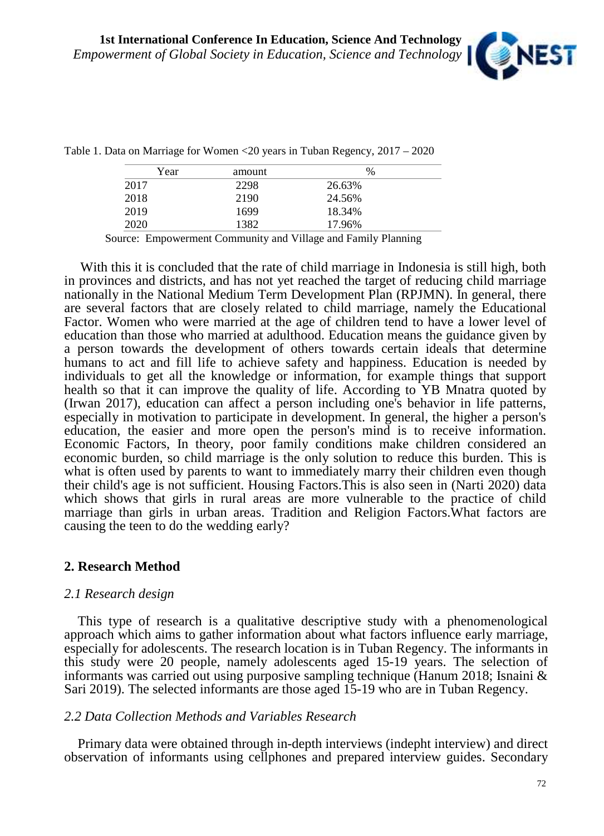

| Year | amount | $\%$   |
|------|--------|--------|
| 2017 | 2298   | 26.63% |
| 2018 | 2190   | 24.56% |
| 2019 | 1699   | 18.34% |
| 2020 | 1382   | 17.96% |

Table 1. Data on Marriage for Women <20 years in Tuban Regency, 2017 – 2020

Source: Empowerment Community and Village and Family Planning

With this it is concluded that the rate of child marriage in Indonesia is still high, both in provinces and districts, and has not yet reached the target of reducing child marriage nationally in the National Medium Term Development Plan (RPJMN). In general, there are several factors that are closely related to child marriage, namely the Educational Factor. Women who were married at the age of children tend to have a lower level of education than those who married at adulthood. Education means the guidance given by a person towards the development of others towards certain ideals that determine humans to act and fill life to achieve safety and happiness. Education is needed by individuals to get all the knowledge or information, for example things that support health so that it can improve the quality of life. According to YB Mnatra quoted by (Irwan 2017), education can affect a person including one's behavior in life patterns, especially in motivation to participate in development. In general, the higher a person's education, the easier and more open the person's mind is to receive information. Economic Factors, In theory, poor family conditions make children considered an economic burden, so child marriage is the only solution to reduce this burden. This is what is often used by parents to want to immediately marry their children even though their child's age is not sufficient. Housing Factors.This is also seen in (Narti 2020) data which shows that girls in rural areas are more vulnerable to the practice of child marriage than girls in urban areas. Tradition and Religion Factors.What factors are causing the teen to do the wedding early?

### **2. Research Method**

### *2.1 Research design*

This type of research is a qualitative descriptive study with a phenomenological approach which aims to gather information about what factors influence early marriage, especially for adolescents. The research location is in Tuban Regency. The informants in this study were 20 people, namely adolescents aged 15-19 years. The selection of informants was carried out using purposive sampling technique (Hanum 2018; Isnaini  $\&$ Sari 2019). The selected informants are those aged 15-19 who are in Tuban Regency.

### *2.2 Data Collection Methods and Variables Research*

Primary data were obtained through in-depth interviews (indepht interview) and direct observation of informants using cellphones and prepared interview guides. Secondary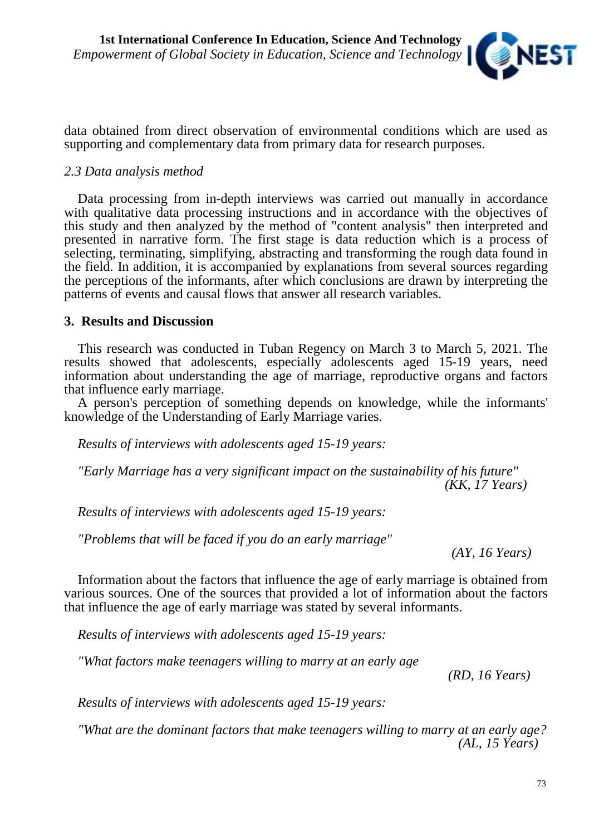

data obtained from direct observation of environmental conditions which are used as supporting and complementary data from primary data for research purposes.

## *2.3 Data analysis method*

Data processing from in-depth interviews was carried out manually in accordance with qualitative data processing instructions and in accordance with the objectives of this study and then analyzed by the method of "content analysis" then interpreted and presented in narrative form. The first stage is data reduction which is a process of selecting, terminating, simplifying, abstracting and transforming the rough data found in the field. In addition, it is accompanied by explanations from several sources regarding the perceptions of the informants, after which conclusions are drawn by interpreting the patterns of events and causal flows that answer all research variables.

### **3. Results and Discussion**

This research was conducted in Tuban Regency on March 3 to March 5, 2021. The results showed that adolescents, especially adolescents aged 15-19 years, need information about understanding the age of marriage, reproductive organs and factors that influence early marriage.

A person's perception of something depends on knowledge, while the informants' knowledge of the Understanding of Early Marriage varies.

*Results of interviews with adolescents aged 15-19 years:*

*"Early Marriage has a very significant impact on the sustainability of his future" (KK, 17 Years)*

*Results of interviews with adolescents aged 15-19 years:*

*"Problems that will be faced if you do an early marriage"*

*(AY, 16 Years)*

Information about the factors that influence the age of early marriage is obtained from various sources. One of the sources that provided a lot of information about the factors that influence the age of early marriage was stated by several informants.

*Results of interviews with adolescents aged 15-19 years:*

*"What factors make teenagers willing to marry at an early age*

*(RD, 16 Years)*

*Results of interviews with adolescents aged 15-19 years:*

*"What are the dominant factors that make teenagers willing to marry at an early age? (AL, 15 Years)*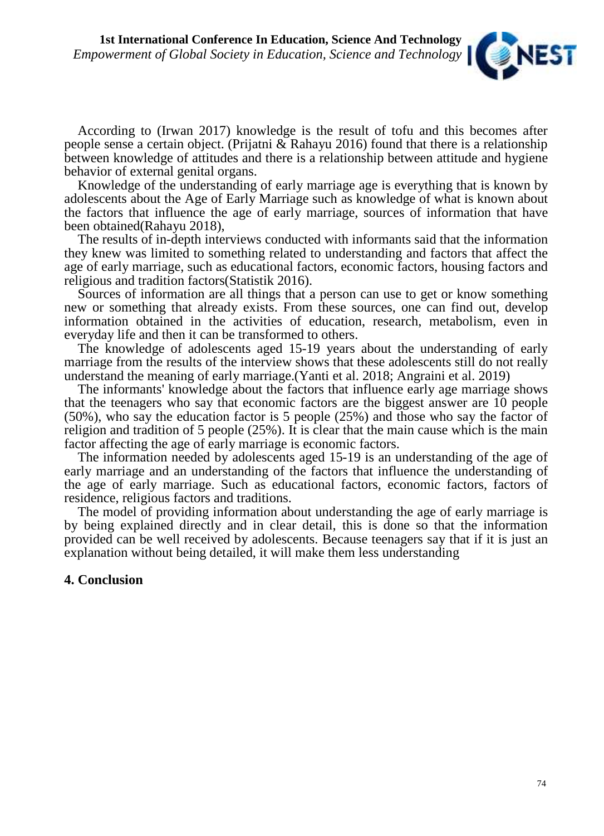

According to (Irwan 2017) knowledge is the result of tofu and this becomes after people sense a certain object. (Prijatni & Rahayu 2016) found that there is a relationship between knowledge of attitudes and there is a relationship between attitude and hygiene behavior of external genital organs.

Knowledge of the understanding of early marriage age is everything that is known by adolescents about the Age of Early Marriage such as knowledge of what is known about the factors that influence the age of early marriage, sources of information that have been obtained(Rahayu 2018),

The results of in-depth interviews conducted with informants said that the information they knew was limited to something related to understanding and factors that affect the age of early marriage, such as educational factors, economic factors, housing factors and religious and tradition factors(Statistik 2016).

Sources of information are all things that a person can use to get or know something new or something that already exists. From these sources, one can find out, develop information obtained in the activities of education, research, metabolism, even in everyday life and then it can be transformed to others.

The knowledge of adolescents aged 15-19 years about the understanding of early marriage from the results of the interview shows that these adolescents still do not really understand the meaning of early marriage.(Yanti et al. 2018; Angraini et al. 2019)

The informants' knowledge about the factors that influence early age marriage shows that the teenagers who say that economic factors are the biggest answer are 10 people (50%), who say the education factor is 5 people (25%) and those who say the factor of religion and tradition of 5 people  $(25\%)$ . It is clear that the main cause which is the main factor affecting the age of early marriage is economic factors.

The information needed by adolescents aged 15-19 is an understanding of the age of early marriage and an understanding of the factors that influence the understanding of the age of early marriage. Such as educational factors, economic factors, factors of residence, religious factors and traditions.

The model of providing information about understanding the age of early marriage is by being explained directly and in clear detail, this is done so that the information provided can be well received by adolescents. Because teenagers say that if it is just an explanation without being detailed, it will make them less understanding

### **4. Conclusion**